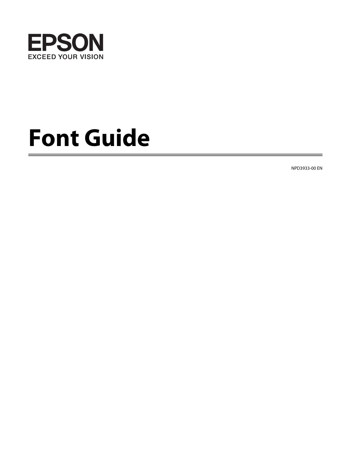

# **Font Guide**

NPD3933-00 EN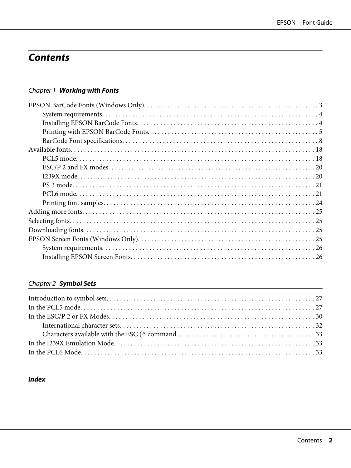## **Contents**

### Chapter 1 Working with Fonts

### Chapter 2 Symbol Sets

### **Index**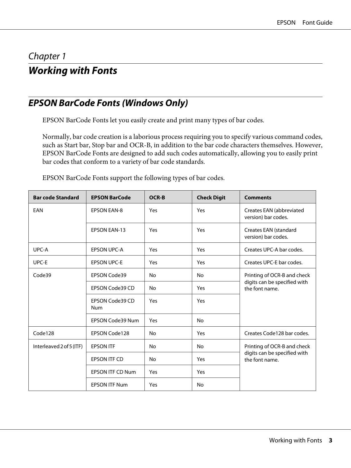### <span id="page-2-0"></span>Chapter 1

### **Working with Fonts**

### **EPSON BarCode Fonts (Windows Only)**

EPSON BarCode Fonts let you easily create and print many types of bar codes.

Normally, bar code creation is a laborious process requiring you to specify various command codes, such as Start bar, Stop bar and OCR-B, in addition to the bar code characters themselves. However, EPSON BarCode Fonts are designed to add such codes automatically, allowing you to easily print bar codes that conform to a variety of bar code standards.

| <b>Bar code Standard</b> | <b>EPSON BarCode</b>          | <b>OCR-B</b> | <b>Check Digit</b> | <b>Comments</b>                                 |
|--------------------------|-------------------------------|--------------|--------------------|-------------------------------------------------|
| EAN                      | <b>EPSON EAN-8</b>            | Yes          | Yes                | Creates EAN (abbreviated<br>version) bar codes. |
|                          | <b>EPSON EAN-13</b>           | Yes          | Yes                | Creates EAN (standard<br>version) bar codes.    |
| UPC-A                    | <b>EPSON UPC-A</b>            | Yes          | Yes                | Creates UPC-A bar codes.                        |
| UPC-E                    | <b>EPSON UPC-E</b>            | Yes          | Yes                | Creates UPC-E bar codes.                        |
| Code39                   | EPSON Code39                  | No.          | N <sub>o</sub>     | Printing of OCR-B and check                     |
|                          | <b>EPSON Code39 CD</b>        | <b>No</b>    | Yes                | digits can be specified with<br>the font name.  |
|                          | EPSON Code39 CD<br><b>Num</b> | Yes          | Yes                |                                                 |
|                          | <b>EPSON Code39 Num</b>       | Yes          | N <sub>o</sub>     |                                                 |
| Code128                  | EPSON Code128                 | <b>No</b>    | Yes                | Creates Code 128 bar codes.                     |
| Interleaved 2 of 5 (ITF) | <b>EPSON ITF</b>              | <b>No</b>    | No                 | Printing of OCR-B and check                     |
|                          | EPSON ITF CD                  | <b>No</b>    | Yes                | digits can be specified with<br>the font name.  |
|                          | <b>EPSON ITF CD Num</b>       | Yes          | Yes                |                                                 |
|                          | <b>EPSON ITF Num</b>          | Yes          | No                 |                                                 |

EPSON BarCode Fonts support the following types of bar codes.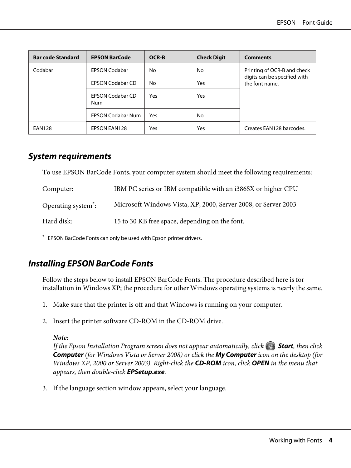<span id="page-3-0"></span>

| <b>Bar code Standard</b> | <b>EPSON BarCode</b>           | OCR-B | <b>Check Digit</b> | <b>Comments</b>                                |
|--------------------------|--------------------------------|-------|--------------------|------------------------------------------------|
| Codabar                  | <b>EPSON Codabar</b>           | No    | No                 | Printing of OCR-B and check                    |
|                          | <b>EPSON Codabar CD</b>        | No    | Yes                | digits can be specified with<br>the font name. |
|                          | <b>EPSON Codabar CD</b><br>Num | Yes   | Yes                |                                                |
|                          | <b>EPSON Codabar Num</b>       | Yes   | No                 |                                                |
| <b>EAN128</b>            | <b>EPSON EAN128</b>            | Yes   | Yes                | Creates EAN128 barcodes.                       |

### **System requirements**

To use EPSON BarCode Fonts, your computer system should meet the following requirements:

| Computer:                       | IBM PC series or IBM compatible with an i386SX or higher CPU   |
|---------------------------------|----------------------------------------------------------------|
| Operating system <sup>*</sup> : | Microsoft Windows Vista, XP, 2000, Server 2008, or Server 2003 |
| Hard disk:                      | 15 to 30 KB free space, depending on the font.                 |

\* EPSON BarCode Fonts can only be used with Epson printer drivers.

### **Installing EPSON BarCode Fonts**

Follow the steps below to install EPSON BarCode Fonts. The procedure described here is for installation in Windows XP; the procedure for other Windows operating systems is nearly the same.

- 1. Make sure that the printer is off and that Windows is running on your computer.
- 2. Insert the printer software CD-ROM in the CD-ROM drive.

#### *Note:*

*If the Epson Installation Program screen does not appear automatically, click*  $\bigoplus$  **Start***, then click* **Computer** *(for Windows Vista or Server 2008) or click the* **My Computer** *icon on the desktop (for Windows XP, 2000 or Server 2003). Right-click the* **CD-ROM** *icon, click* **OPEN** *in the menu that appears, then double-click* **EPSetup.exe***.*

3. If the language section window appears, select your language.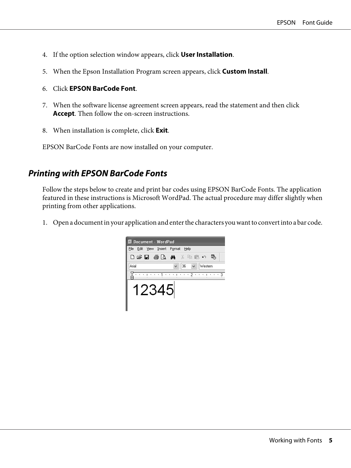- <span id="page-4-0"></span>4. If the option selection window appears, click **User Installation**.
- 5. When the Epson Installation Program screen appears, click **Custom Install**.
- 6. Click **EPSON BarCode Font**.
- 7. When the software license agreement screen appears, read the statement and then click **Accept**. Then follow the on-screen instructions.
- 8. When installation is complete, click **Exit**.

EPSON BarCode Fonts are now installed on your computer.

### **Printing with EPSON BarCode Fonts**

Follow the steps below to create and print bar codes using EPSON BarCode Fonts. The application featured in these instructions is Microsoft WordPad. The actual procedure may differ slightly when printing from other applications.

1. Open a document in your application and enter the characters you want to convert into a bar code.

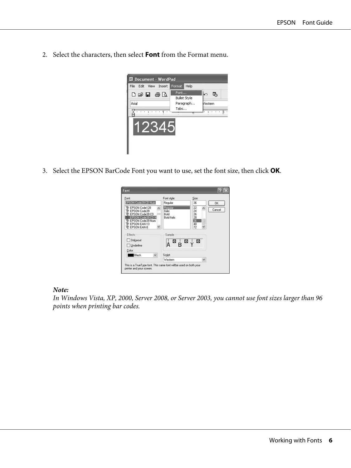2. Select the characters, then select **Font** from the Format menu.



3. Select the EPSON BarCode Font you want to use, set the font size, then click **OK**.

| Font:                                                                                                                                      | Font style:                                            | Size:                                       |        |
|--------------------------------------------------------------------------------------------------------------------------------------------|--------------------------------------------------------|---------------------------------------------|--------|
| EPSON Code39 CD Num                                                                                                                        | Regular                                                | 36                                          | 0K     |
| Tr EPSON Code128<br>Tr EPSON Code39<br>EPSON Code39 CD<br>EPSON Code39 CD N<br>The EPSON Code39 Num<br>The EPSON EAN-13<br>The FPSON EAN-8 | Regular<br><b>Italic</b><br>Bold<br><b>Bold Italic</b> | 22<br>×<br>24<br>26<br>28<br>36<br>48<br>72 | Cancel |
| Effects                                                                                                                                    | Sample                                                 |                                             |        |
| Strikeout                                                                                                                                  |                                                        | ⊠ ⊥⊠ !⊠                                     |        |
| Underline                                                                                                                                  |                                                        |                                             |        |
| Color:                                                                                                                                     |                                                        |                                             |        |
| Black<br>v                                                                                                                                 | Script:                                                |                                             |        |
|                                                                                                                                            | Western                                                |                                             |        |

#### *Note:*

*In Windows Vista, XP, 2000, Server 2008, or Server 2003, you cannot use font sizes larger than 96 points when printing bar codes.*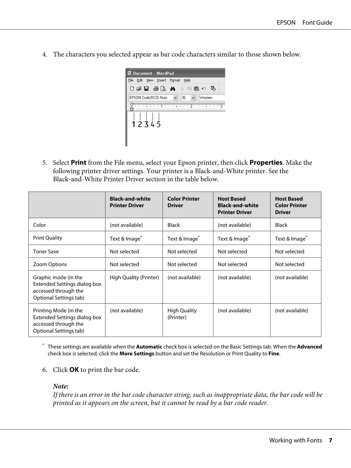4. The characters you selected appear as bar code characters similar to those shown below.



5. Select **Print** from the File menu, select your Epson printer, then click **Properties**. Make the following printer driver settings. Your printer is a Black-and-White printer. See the Black-and-White Printer Driver section in the table below.

|                                                                                                               | <b>Black-and-white</b><br><b>Printer Driver</b> | <b>Color Printer</b><br><b>Driver</b> | <b>Host Based</b><br><b>Black-and-white</b><br><b>Printer Driver</b> | <b>Host Based</b><br><b>Color Printer</b><br><b>Driver</b> |
|---------------------------------------------------------------------------------------------------------------|-------------------------------------------------|---------------------------------------|----------------------------------------------------------------------|------------------------------------------------------------|
| Color                                                                                                         | (not available)                                 | Black                                 | (not available)                                                      | Black                                                      |
| <b>Print Quality</b>                                                                                          | Text & Image <sup>*</sup>                       | Text & Image <sup>*</sup>             | Text & Image <sup>*</sup>                                            | Text & Image <sup>*</sup>                                  |
| <b>Toner Save</b>                                                                                             | Not selected                                    | Not selected                          | Not selected                                                         | Not selected                                               |
| Zoom Options                                                                                                  | Not selected                                    | Not selected                          | Not selected                                                         | Not selected                                               |
| Graphic mode (in the<br><b>Extended Settings dialog box</b><br>accessed through the<br>Optional Settings tab) | High Quality (Printer)                          | (not available)                       | (not available)                                                      | (not available)                                            |
| Printing Mode (in the<br>Extended Settings dialog box<br>accessed through the<br>Optional Settings tab)       | (not available)                                 | <b>High Quality</b><br>(Printer)      | (not available)                                                      | (not available)                                            |

\* These settings are available when the **Automatic** check box is selected on the Basic Settings tab. When the **Advanced** check box is selected, click the **More Settings** button and set the Resolution or Print Quality to **Fine**.

6. Click **OK** to print the bar code.

#### *Note:*

*If there is an error in the bar code character string, such as inappropriate data, the bar code will be printed as it appears on the screen, but it cannot be read by a bar code reader.*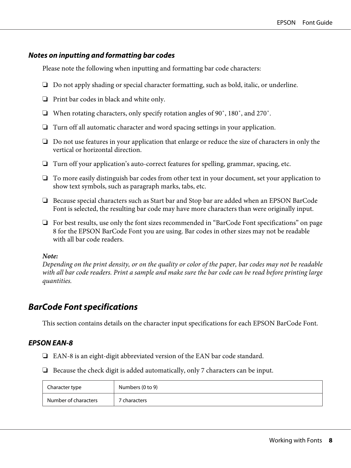#### <span id="page-7-0"></span>**Notes on inputting and formatting bar codes**

Please note the following when inputting and formatting bar code characters:

- ❏ Do not apply shading or special character formatting, such as bold, italic, or underline.
- ❏ Print bar codes in black and white only.
- ❏ When rotating characters, only specify rotation angles of 90˚, 180˚, and 270˚.
- ❏ Turn off all automatic character and word spacing settings in your application.
- ❏ Do not use features in your application that enlarge or reduce the size of characters in only the vertical or horizontal direction.
- ❏ Turn off your application's auto-correct features for spelling, grammar, spacing, etc.
- ❏ To more easily distinguish bar codes from other text in your document, set your application to show text symbols, such as paragraph marks, tabs, etc.
- ❏ Because special characters such as Start bar and Stop bar are added when an EPSON BarCode Font is selected, the resulting bar code may have more characters than were originally input.
- ❏ For best results, use only the font sizes recommended in "BarCode Font specifications" on page 8 for the EPSON BarCode Font you are using. Bar codes in other sizes may not be readable with all bar code readers.

#### *Note:*

*Depending on the print density, or on the quality or color of the paper, bar codes may not be readable with all bar code readers. Print a sample and make sure the bar code can be read before printing large quantities.*

### **BarCode Font specifications**

This section contains details on the character input specifications for each EPSON BarCode Font.

#### **EPSON EAN-8**

- ❏ EAN-8 is an eight-digit abbreviated version of the EAN bar code standard.
- ❏ Because the check digit is added automatically, only 7 characters can be input.

| Character type       | Numbers (0 to 9) |
|----------------------|------------------|
| Number of characters | 7 characters     |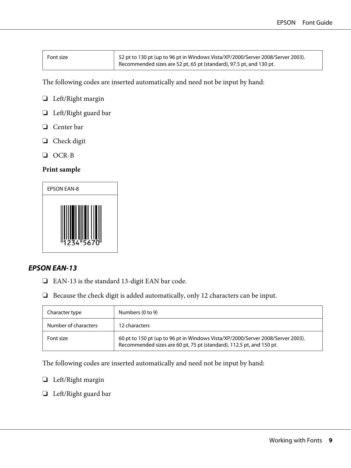| Font size | $^{\rm \prime}$ 52 pt to 130 pt (up to 96 pt in Windows Vista/XP/2000/Server 2008/Server 2003). |
|-----------|-------------------------------------------------------------------------------------------------|
|           | Recommended sizes are 52 pt, 65 pt (standard), 97.5 pt, and 130 pt.                             |

The following codes are inserted automatically and need not be input by hand:

- ❏ Left/Right margin
- ❏ Left/Right guard bar
- ❏ Center bar
- ❏ Check digit
- ❏ OCR-B

#### **Print sample**



#### **EPSON EAN-13**

- ❏ EAN-13 is the standard 13-digit EAN bar code.
- ❏ Because the check digit is added automatically, only 12 characters can be input.

| Character type       | Numbers (0 to 9)                                                                                                                                        |
|----------------------|---------------------------------------------------------------------------------------------------------------------------------------------------------|
| Number of characters | 12 characters                                                                                                                                           |
| Font size            | 60 pt to 150 pt (up to 96 pt in Windows Vista/XP/2000/Server 2008/Server 2003).<br>Recommended sizes are 60 pt, 75 pt (standard), 112.5 pt, and 150 pt. |

The following codes are inserted automatically and need not be input by hand:

- ❏ Left/Right margin
- ❏ Left/Right guard bar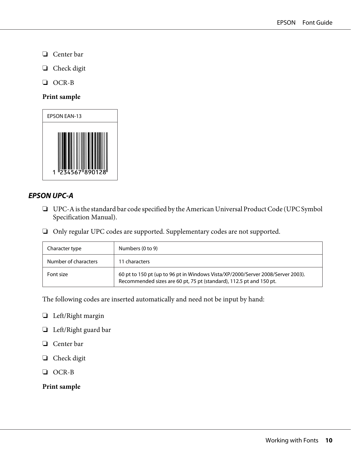- ❏ Center bar
- ❏ Check digit
- ❏ OCR-B

#### **Print sample**



#### **EPSON UPC-A**

- ❏ UPC-A is the standard bar code specified by the American Universal Product Code (UPC Symbol Specification Manual).
- ❏ Only regular UPC codes are supported. Supplementary codes are not supported.

| Character type       | Numbers (0 to 9)                                                                                                                                       |
|----------------------|--------------------------------------------------------------------------------------------------------------------------------------------------------|
| Number of characters | 11 characters                                                                                                                                          |
| Font size            | 60 pt to 150 pt (up to 96 pt in Windows Vista/XP/2000/Server 2008/Server 2003).<br>Recommended sizes are 60 pt, 75 pt (standard), 112.5 pt and 150 pt. |

The following codes are inserted automatically and need not be input by hand:

- ❏ Left/Right margin
- ❏ Left/Right guard bar
- ❏ Center bar
- ❏ Check digit
- ❏ OCR-B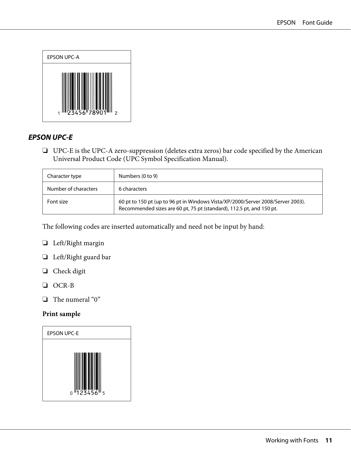

#### **EPSON UPC-E**

❏ UPC-E is the UPC-A zero-suppression (deletes extra zeros) bar code specified by the American Universal Product Code (UPC Symbol Specification Manual).

| Character type       | Numbers (0 to 9)                                                                                                                                        |
|----------------------|---------------------------------------------------------------------------------------------------------------------------------------------------------|
| Number of characters | 6 characters                                                                                                                                            |
| Font size            | 60 pt to 150 pt (up to 96 pt in Windows Vista/XP/2000/Server 2008/Server 2003).<br>Recommended sizes are 60 pt, 75 pt (standard), 112.5 pt, and 150 pt. |

The following codes are inserted automatically and need not be input by hand:

- ❏ Left/Right margin
- ❏ Left/Right guard bar
- ❏ Check digit
- ❏ OCR-B
- ❏ The numeral "0"

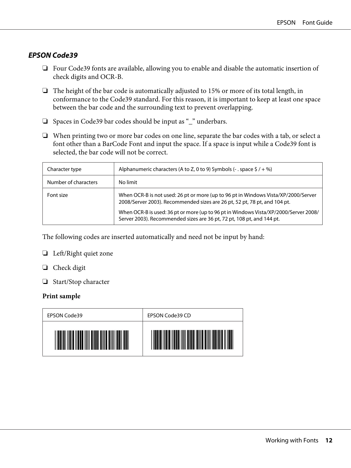#### **EPSON Code39**

- ❏ Four Code39 fonts are available, allowing you to enable and disable the automatic insertion of check digits and OCR-B.
- ❏ The height of the bar code is automatically adjusted to 15% or more of its total length, in conformance to the Code39 standard. For this reason, it is important to keep at least one space between the bar code and the surrounding text to prevent overlapping.
- ❏ Spaces in Code39 bar codes should be input as "\_" underbars.
- ❏ When printing two or more bar codes on one line, separate the bar codes with a tab, or select a font other than a BarCode Font and input the space. If a space is input while a Code39 font is selected, the bar code will not be correct.

| Character type       | Alphanumeric characters (A to Z, 0 to 9) Symbols (- . space $\frac{1}{2}$ / + %)                                                                                |
|----------------------|-----------------------------------------------------------------------------------------------------------------------------------------------------------------|
| Number of characters | No limit                                                                                                                                                        |
| Font size            | When OCR-B is not used: 26 pt or more (up to 96 pt in Windows Vista/XP/2000/Server<br>2008/Server 2003). Recommended sizes are 26 pt, 52 pt, 78 pt, and 104 pt. |
|                      | When OCR-B is used: 36 pt or more (up to 96 pt in Windows Vista/XP/2000/Server 2008/<br>Server 2003). Recommended sizes are 36 pt, 72 pt, 108 pt, and 144 pt.   |

The following codes are inserted automatically and need not be input by hand:

#### ❏ Left/Right quiet zone

- ❏ Check digit
- ❏ Start/Stop character

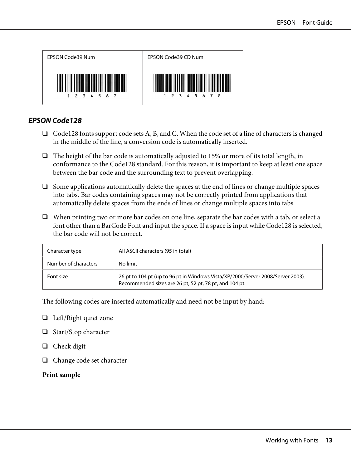

#### **EPSON Code128**

- ❏ Code128 fonts support code sets A, B, and C. When the code set of a line of characters is changed in the middle of the line, a conversion code is automatically inserted.
- $\Box$  The height of the bar code is automatically adjusted to 15% or more of its total length, in conformance to the Code128 standard. For this reason, it is important to keep at least one space between the bar code and the surrounding text to prevent overlapping.
- ❏ Some applications automatically delete the spaces at the end of lines or change multiple spaces into tabs. Bar codes containing spaces may not be correctly printed from applications that automatically delete spaces from the ends of lines or change multiple spaces into tabs.
- ❏ When printing two or more bar codes on one line, separate the bar codes with a tab, or select a font other than a BarCode Font and input the space. If a space is input while Code128 is selected, the bar code will not be correct.

| Character type       | All ASCII characters (95 in total)                                                                                                        |
|----------------------|-------------------------------------------------------------------------------------------------------------------------------------------|
| Number of characters | No limit                                                                                                                                  |
| Font size            | 26 pt to 104 pt (up to 96 pt in Windows Vista/XP/2000/Server 2008/Server 2003).<br>Recommended sizes are 26 pt, 52 pt, 78 pt, and 104 pt. |

The following codes are inserted automatically and need not be input by hand:

- ❏ Left/Right quiet zone
- ❏ Start/Stop character
- ❏ Check digit
- ❏ Change code set character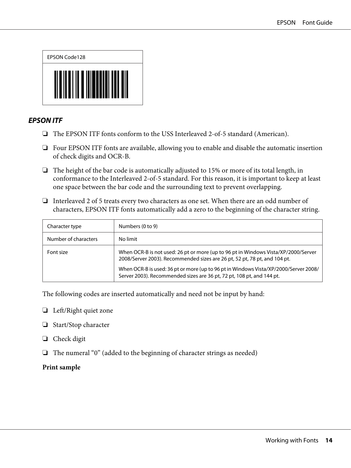

#### **EPSON ITF**

- ❏ The EPSON ITF fonts conform to the USS Interleaved 2-of-5 standard (American).
- ❏ Four EPSON ITF fonts are available, allowing you to enable and disable the automatic insertion of check digits and OCR-B.
- $\Box$  The height of the bar code is automatically adjusted to 15% or more of its total length, in conformance to the Interleaved 2-of-5 standard. For this reason, it is important to keep at least one space between the bar code and the surrounding text to prevent overlapping.
- ❏ Interleaved 2 of 5 treats every two characters as one set. When there are an odd number of characters, EPSON ITF fonts automatically add a zero to the beginning of the character string.

| Character type       | Numbers (0 to 9)                                                                                                                                                |
|----------------------|-----------------------------------------------------------------------------------------------------------------------------------------------------------------|
| Number of characters | No limit                                                                                                                                                        |
| Font size            | When OCR-B is not used: 26 pt or more (up to 96 pt in Windows Vista/XP/2000/Server<br>2008/Server 2003). Recommended sizes are 26 pt, 52 pt, 78 pt, and 104 pt. |
|                      | When OCR-B is used: 36 pt or more (up to 96 pt in Windows Vista/XP/2000/Server 2008/<br>Server 2003). Recommended sizes are 36 pt, 72 pt, 108 pt, and 144 pt.   |

The following codes are inserted automatically and need not be input by hand:

- ❏ Left/Right quiet zone
- ❏ Start/Stop character
- ❏ Check digit
- ❏ The numeral "0" (added to the beginning of character strings as needed)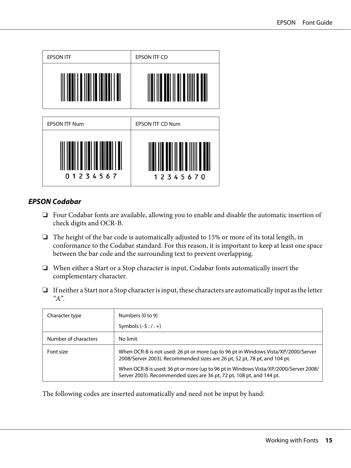

#### **EPSON Codabar**

- ❏ Four Codabar fonts are available, allowing you to enable and disable the automatic insertion of check digits and OCR-B.
- ❏ The height of the bar code is automatically adjusted to 15% or more of its total length, in conformance to the Codabar standard. For this reason, it is important to keep at least one space between the bar code and the surrounding text to prevent overlapping.
- ❏ When either a Start or a Stop character is input, Codabar fonts automatically insert the complementary character.
- ❏ If neither a Start nor a Stop character is input, these characters are automatically input as the letter *"A".*

| Character type       | Numbers (0 to 9)                                                                                                                                                |  |
|----------------------|-----------------------------------------------------------------------------------------------------------------------------------------------------------------|--|
|                      | Symbols $(-\xi$ : $/$ . $+)$                                                                                                                                    |  |
| Number of characters | No limit                                                                                                                                                        |  |
| Font size            | When OCR-B is not used: 26 pt or more (up to 96 pt in Windows Vista/XP/2000/Server<br>2008/Server 2003). Recommended sizes are 26 pt, 52 pt, 78 pt, and 104 pt. |  |
|                      | When OCR-B is used: 36 pt or more (up to 96 pt in Windows Vista/XP/2000/Server 2008/<br>Server 2003). Recommended sizes are 36 pt, 72 pt, 108 pt, and 144 pt.   |  |

The following codes are inserted automatically and need not be input by hand: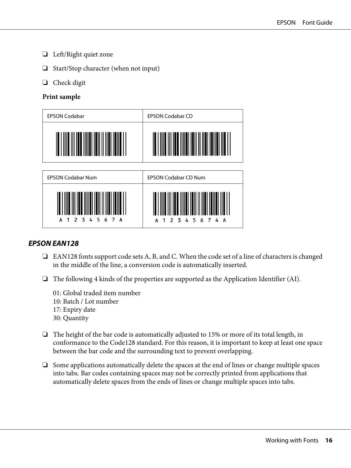- ❏ Left/Right quiet zone
- ❏ Start/Stop character (when not input)
- ❏ Check digit

#### **Print sample**



#### **EPSON EAN128**

- ❏ EAN128 fonts support code sets A, B, and C. When the code set of a line of characters is changed in the middle of the line, a conversion code is automatically inserted.
- ❏ The following 4 kinds of the properties are supported as the Application Identifier (AI).
	- 01: Global traded item number 10: Batch / Lot number 17: Expiry date 30: Quantity
- ❏ The height of the bar code is automatically adjusted to 15% or more of its total length, in conformance to the Code128 standard. For this reason, it is important to keep at least one space between the bar code and the surrounding text to prevent overlapping.
- ❏ Some applications automatically delete the spaces at the end of lines or change multiple spaces into tabs. Bar codes containing spaces may not be correctly printed from applications that automatically delete spaces from the ends of lines or change multiple spaces into tabs.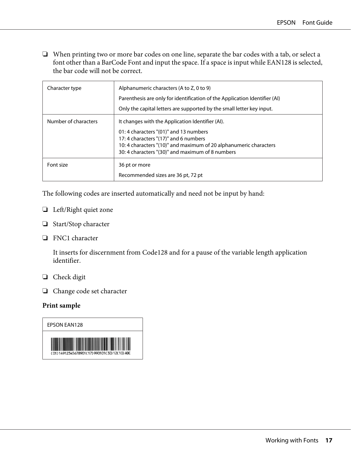❏ When printing two or more bar codes on one line, separate the bar codes with a tab, or select a font other than a BarCode Font and input the space. If a space is input while EAN128 is selected, the bar code will not be correct.

| Character type       | Alphanumeric characters (A to Z, 0 to 9)                                   |
|----------------------|----------------------------------------------------------------------------|
|                      | Parenthesis are only for identification of the Application Identifier (AI) |
|                      | Only the capital letters are supported by the small letter key input.      |
| Number of characters | It changes with the Application Identifier (AI).                           |
|                      | 01:4 characters "(01)" and 13 numbers                                      |
|                      | 17: 4 characters "(17)" and 6 numbers                                      |
|                      | 10: 4 characters "(10)" and maximum of 20 alphanumeric characters          |
|                      | 30: 4 characters "(30)" and maximum of 8 numbers                           |
| Font size            | 36 pt or more                                                              |
|                      | Recommended sizes are 36 pt, 72 pt                                         |

The following codes are inserted automatically and need not be input by hand:

- ❏ Left/Right quiet zone
- ❏ Start/Stop character
- ❏ FNC1 character

It inserts for discernment from Code128 and for a pause of the variable length application identifier.

- ❏ Check digit
- ❏ Change code set character

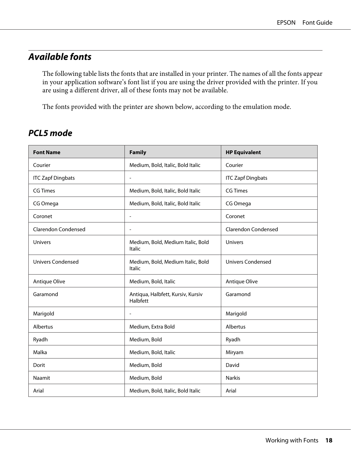### <span id="page-17-0"></span>**Available fonts**

The following table lists the fonts that are installed in your printer. The names of all the fonts appear in your application software's font list if you are using the driver provided with the printer. If you are using a different driver, all of these fonts may not be available.

The fonts provided with the printer are shown below, according to the emulation mode.

### **PCL5 mode**

| <b>Font Name</b>           | <b>Family</b>                                      | <b>HP Equivalent</b>       |
|----------------------------|----------------------------------------------------|----------------------------|
| Courier                    | Medium, Bold, Italic, Bold Italic                  | Courier                    |
| <b>ITC Zapf Dingbats</b>   | $\blacksquare$                                     | <b>ITC Zapf Dingbats</b>   |
| <b>CG Times</b>            | Medium, Bold, Italic, Bold Italic                  | <b>CG Times</b>            |
| CG Omega                   | Medium, Bold, Italic, Bold Italic                  | CG Omega                   |
| Coronet                    | $\overline{a}$                                     | Coronet                    |
| <b>Clarendon Condensed</b> | $\overline{\phantom{a}}$                           | <b>Clarendon Condensed</b> |
| <b>Univers</b>             | Medium, Bold, Medium Italic, Bold<br><b>Italic</b> | <b>Univers</b>             |
| <b>Univers Condensed</b>   | Medium, Bold, Medium Italic, Bold<br>Italic        | <b>Univers Condensed</b>   |
| Antique Olive              | Medium, Bold, Italic                               | Antique Olive              |
| Garamond                   | Antiqua, Halbfett, Kursiv, Kursiv<br>Halbfett      | Garamond                   |
| Marigold                   | $\qquad \qquad \blacksquare$                       | Marigold                   |
| Albertus                   | Medium, Extra Bold                                 | Albertus                   |
| Ryadh                      | Medium, Bold                                       | Ryadh                      |
| Malka                      | Medium, Bold, Italic                               | Miryam                     |
| Dorit                      | Medium, Bold                                       | David                      |
| Naamit                     | Medium, Bold                                       | <b>Narkis</b>              |
| Arial                      | Medium, Bold, Italic, Bold Italic                  | Arial                      |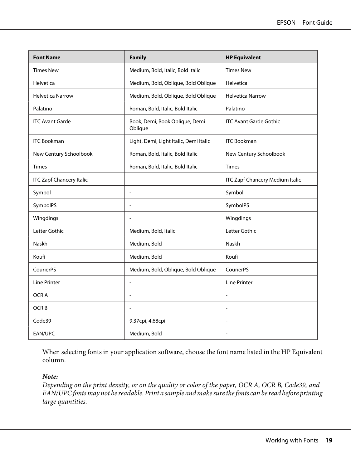| <b>Font Name</b>                | <b>Family</b>                             | <b>HP Equivalent</b>                   |
|---------------------------------|-------------------------------------------|----------------------------------------|
| <b>Times New</b>                | Medium, Bold, Italic, Bold Italic         | <b>Times New</b>                       |
| Helvetica                       | Medium, Bold, Oblique, Bold Oblique       | Helvetica                              |
| <b>Helvetica Narrow</b>         | Medium, Bold, Oblique, Bold Oblique       | <b>Helvetica Narrow</b>                |
| Palatino                        | Roman, Bold, Italic, Bold Italic          | Palatino                               |
| <b>ITC Avant Garde</b>          | Book, Demi, Book Oblique, Demi<br>Oblique | <b>ITC Avant Garde Gothic</b>          |
| <b>ITC Bookman</b>              | Light, Demi, Light Italic, Demi Italic    | <b>ITC Bookman</b>                     |
| New Century Schoolbook          | Roman, Bold, Italic, Bold Italic          | New Century Schoolbook                 |
| <b>Times</b>                    | Roman, Bold, Italic, Bold Italic          | <b>Times</b>                           |
| <b>ITC Zapf Chancery Italic</b> | $\overline{a}$                            | <b>ITC Zapf Chancery Medium Italic</b> |
| Symbol                          | $\overline{a}$                            | Symbol                                 |
| SymbolPS                        | $\overline{a}$                            | SymbolPS                               |
| Wingdings                       | $\overline{a}$                            | Wingdings                              |
| Letter Gothic                   | Medium, Bold, Italic                      | Letter Gothic                          |
| Naskh                           | Medium, Bold                              | Naskh                                  |
| Koufi                           | Medium, Bold                              | Koufi                                  |
| CourierPS                       | Medium, Bold, Oblique, Bold Oblique       | CourierPS                              |
| Line Printer                    | $\overline{a}$                            | <b>Line Printer</b>                    |
| OCR A                           | $\overline{a}$                            | $\overline{\phantom{a}}$               |
| OCR <sub>B</sub>                | $\overline{a}$                            |                                        |
| Code39                          | 9.37срі, 4.68срі                          | ÷                                      |
| EAN/UPC                         | Medium, Bold                              |                                        |

When selecting fonts in your application software, choose the font name listed in the HP Equivalent column.

#### *Note:*

*Depending on the print density, or on the quality or color of the paper, OCR A, OCR B, Code39, and EAN/UPC fonts may not be readable. Print a sample and make sure the fonts can be read before printing large quantities.*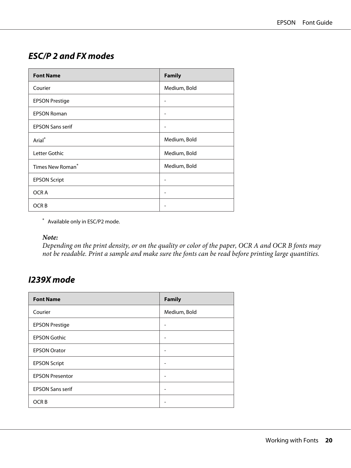### <span id="page-19-0"></span>**ESC/P 2 and FX modes**

| <b>Font Name</b>             | <b>Family</b> |
|------------------------------|---------------|
| Courier                      | Medium, Bold  |
| <b>EPSON Prestige</b>        |               |
| <b>EPSON Roman</b>           |               |
| <b>EPSON Sans serif</b>      |               |
| Arial <sup>*</sup>           | Medium, Bold  |
| Letter Gothic                | Medium, Bold  |
| Times New Roman <sup>*</sup> | Medium, Bold  |
| <b>EPSON Script</b>          |               |
| OCR A                        | -             |
| OCR <sub>B</sub>             |               |

\* Available only in ESC/P2 mode.

#### *Note:*

*Depending on the print density, or on the quality or color of the paper, OCR A and OCR B fonts may not be readable. Print a sample and make sure the fonts can be read before printing large quantities.*

### **I239X mode**

| <b>Font Name</b>        | <b>Family</b> |
|-------------------------|---------------|
| Courier                 | Medium, Bold  |
| <b>EPSON Prestige</b>   |               |
| <b>EPSON Gothic</b>     |               |
| <b>EPSON Orator</b>     |               |
| <b>EPSON Script</b>     |               |
| <b>EPSON Presentor</b>  |               |
| <b>EPSON Sans serif</b> |               |
| OCR <sub>B</sub>        |               |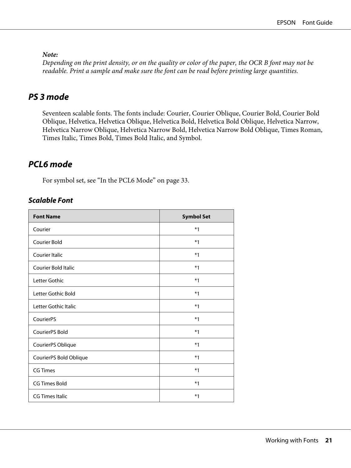#### <span id="page-20-0"></span>*Note:*

*Depending on the print density, or on the quality or color of the paper, the OCR B font may not be readable. Print a sample and make sure the font can be read before printing large quantities.*

### **PS 3 mode**

Seventeen scalable fonts. The fonts include: Courier, Courier Oblique, Courier Bold, Courier Bold Oblique, Helvetica, Helvetica Oblique, Helvetica Bold, Helvetica Bold Oblique, Helvetica Narrow, Helvetica Narrow Oblique, Helvetica Narrow Bold, Helvetica Narrow Bold Oblique, Times Roman, Times Italic, Times Bold, Times Bold Italic, and Symbol.

### **PCL6 mode**

For symbol set, see ["In the PCL6 Mode" on page 33.](#page-32-0)

#### **Scalable Font**

| <b>Font Name</b>       | <b>Symbol Set</b> |
|------------------------|-------------------|
| Courier                | $*1$              |
| <b>Courier Bold</b>    | $*1$              |
| Courier Italic         | $*1$              |
| Courier Bold Italic    | $*1$              |
| Letter Gothic          | $*1$              |
| Letter Gothic Bold     | $*1$              |
| Letter Gothic Italic   | $*1$              |
| CourierPS              | $*1$              |
| CourierPS Bold         | $*1$              |
| CourierPS Oblique      | $*1$              |
| CourierPS Bold Oblique | $*1$              |
| <b>CG Times</b>        | $*1$              |
| <b>CG Times Bold</b>   | $*1$              |
| <b>CG Times Italic</b> | $*1$              |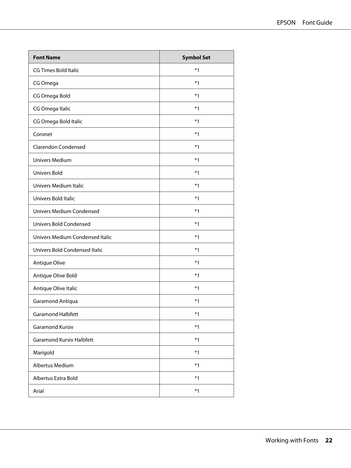| <b>Font Name</b>                | <b>Symbol Set</b> |
|---------------------------------|-------------------|
| <b>CG Times Bold Italic</b>     | $*1$              |
| CG Omega                        | $*1$              |
| CG Omega Bold                   | $*1$              |
| CG Omega Italic                 | $*1$              |
| CG Omega Bold Italic            | $*1$              |
| Coronet                         | $*1$              |
| <b>Clarendon Condensed</b>      | $*1$              |
| <b>Univers Medium</b>           | $*1$              |
| <b>Univers Bold</b>             | $*1$              |
| Univers Medium Italic           | $*1$              |
| Univers Bold Italic             | $*1$              |
| <b>Univers Medium Condensed</b> | $*1$              |
| <b>Univers Bold Condensed</b>   | $*1$              |
| Univers Medium Condensed Italic | $*1$              |
| Univers Bold Condensed Italic   | $*1$              |
| Antique Olive                   | $*1$              |
| Antique Olive Bold              | $*1$              |
| Antique Olive Italic            | $*1$              |
| Garamond Antiqua                | $*1$              |
| <b>Garamond Halbfett</b>        | $*1$              |
| Garamond Kursiv                 | $*1$              |
| <b>Garamond Kursiv Halbfett</b> | $*1$              |
| Marigold                        | $*1$              |
| Albertus Medium                 | $*1$              |
| Albertus Extra Bold             | $*1$              |
| Arial                           | $*1$              |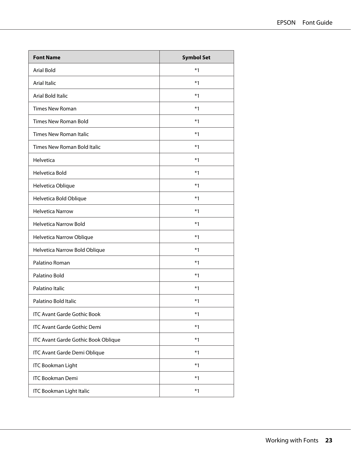| <b>Font Name</b>                    | <b>Symbol Set</b> |
|-------------------------------------|-------------------|
| <b>Arial Bold</b>                   | $*1$              |
| <b>Arial Italic</b>                 | $*1$              |
| Arial Bold Italic                   | $*1$              |
| <b>Times New Roman</b>              | $*1$              |
| <b>Times New Roman Bold</b>         | $*1$              |
| <b>Times New Roman Italic</b>       | $*1$              |
| Times New Roman Bold Italic         | $*1$              |
| Helvetica                           | $*1$              |
| Helvetica Bold                      | $*1$              |
| Helvetica Oblique                   | $*1$              |
| Helvetica Bold Oblique              | $*1$              |
| <b>Helvetica Narrow</b>             | $*1$              |
| <b>Helvetica Narrow Bold</b>        | $*1$              |
| Helvetica Narrow Oblique            | $*1$              |
| Helvetica Narrow Bold Oblique       | $*1$              |
| Palatino Roman                      | $*1$              |
| Palatino Bold                       | $*1$              |
| Palatino Italic                     | $*1$              |
| Palatino Bold Italic                | $*1$              |
| <b>ITC Avant Garde Gothic Book</b>  | $*1$              |
| <b>ITC Avant Garde Gothic Demi</b>  | $*1$              |
| ITC Avant Garde Gothic Book Oblique | $*1$              |
| ITC Avant Garde Demi Oblique        | $*1$              |
| <b>ITC Bookman Light</b>            | $*1$              |
| <b>ITC Bookman Demi</b>             | $*1$              |
| <b>ITC Bookman Light Italic</b>     | $*1$              |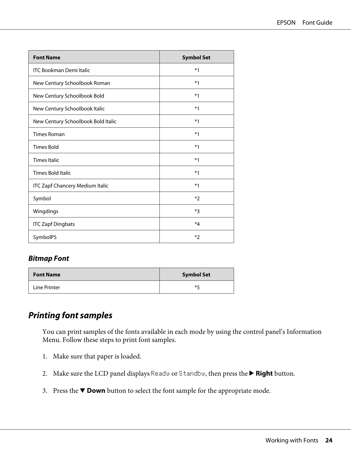<span id="page-23-0"></span>

| <b>Font Name</b>                       | <b>Symbol Set</b> |
|----------------------------------------|-------------------|
| <b>ITC Bookman Demi Italic</b>         | $*1$              |
| New Century Schoolbook Roman           | $*1$              |
| New Century Schoolbook Bold            | $*1$              |
| New Century Schoolbook Italic          | $*1$              |
| New Century Schoolbook Bold Italic     | $*1$              |
| <b>Times Roman</b>                     | $*1$              |
| <b>Times Bold</b>                      | $*1$              |
| <b>Times Italic</b>                    | $*1$              |
| <b>Times Bold Italic</b>               | $*1$              |
| <b>ITC Zapf Chancery Medium Italic</b> | $*1$              |
| Symbol                                 | $*$               |
| Wingdings                              | $*3$              |
| <b>ITC Zapf Dingbats</b>               | $*_{4}$           |
| SymbolPS                               | $*$               |

#### **Bitmap Font**

| <b>Font Name</b> | <b>Symbol Set</b> |
|------------------|-------------------|
| Line Printer     | ⋇∟                |

### **Printing font samples**

You can print samples of the fonts available in each mode by using the control panel's Information Menu. Follow these steps to print font samples.

- 1. Make sure that paper is loaded.
- 2. Make sure the LCD panel displays Ready or Standby, then press the **> Right** button.
- 3. Press the  $\blacktriangledown$  **Down** button to select the font sample for the appropriate mode.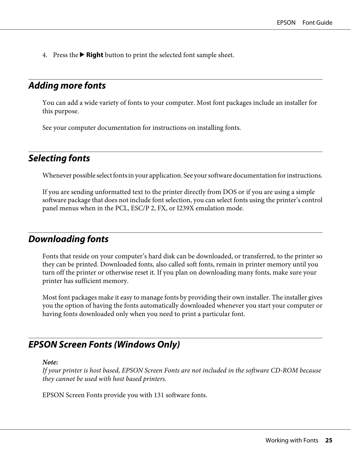<span id="page-24-0"></span>4. Press the  $\triangleright$  **Right** button to print the selected font sample sheet.

### **Adding more fonts**

You can add a wide variety of fonts to your computer. Most font packages include an installer for this purpose.

See your computer documentation for instructions on installing fonts.

### **Selecting fonts**

Whenever possible select fonts in your application. See your software documentation for instructions.

If you are sending unformatted text to the printer directly from DOS or if you are using a simple software package that does not include font selection, you can select fonts using the printer's control panel menus when in the PCL, ESC/P 2, FX, or I239X emulation mode.

### **Downloading fonts**

Fonts that reside on your computer's hard disk can be downloaded, or transferred, to the printer so they can be printed. Downloaded fonts, also called soft fonts, remain in printer memory until you turn off the printer or otherwise reset it. If you plan on downloading many fonts, make sure your printer has sufficient memory.

Most font packages make it easy to manage fonts by providing their own installer. The installer gives you the option of having the fonts automatically downloaded whenever you start your computer or having fonts downloaded only when you need to print a particular font.

### **EPSON Screen Fonts (Windows Only)**

#### *Note:*

*If your printer is host based, EPSON Screen Fonts are not included in the software CD-ROM because they cannot be used with host based printers.*

EPSON Screen Fonts provide you with 131 software fonts.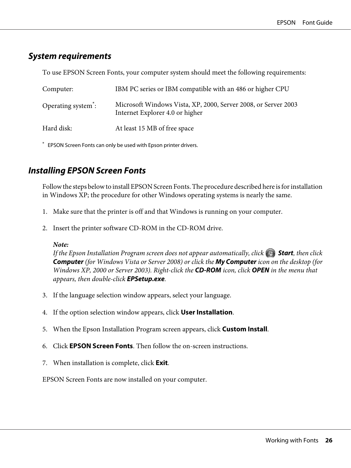### <span id="page-25-0"></span>**System requirements**

To use EPSON Screen Fonts, your computer system should meet the following requirements:

| Computer:                                              | IBM PC series or IBM compatible with an 486 or higher CPU                                         |
|--------------------------------------------------------|---------------------------------------------------------------------------------------------------|
| Operating system <sup><math>\dot{\cdot}</math></sup> : | Microsoft Windows Vista, XP, 2000, Server 2008, or Server 2003<br>Internet Explorer 4.0 or higher |
| Hard disk:                                             | At least 15 MB of free space                                                                      |

\* EPSON Screen Fonts can only be used with Epson printer drivers.

### **Installing EPSON Screen Fonts**

Follow the steps below to install EPSON Screen Fonts. The procedure described here is for installation in Windows XP; the procedure for other Windows operating systems is nearly the same.

- 1. Make sure that the printer is off and that Windows is running on your computer.
- 2. Insert the printer software CD-ROM in the CD-ROM drive.

#### *Note:*

*If the Epson Installation Program screen does not appear automatically, click*  $\leftrightarrow$  **Start***, then click* **Computer** *(for Windows Vista or Server 2008) or click the* **My Computer** *icon on the desktop (for Windows XP, 2000 or Server 2003). Right-click the* **CD-ROM** *icon, click* **OPEN** *in the menu that appears, then double-click* **EPSetup.exe***.*

- 3. If the language selection window appears, select your language.
- 4. If the option selection window appears, click **User Installation**.
- 5. When the Epson Installation Program screen appears, click **Custom Install**.
- 6. Click **EPSON Screen Fonts**. Then follow the on-screen instructions.
- 7. When installation is complete, click **Exit**.

EPSON Screen Fonts are now installed on your computer.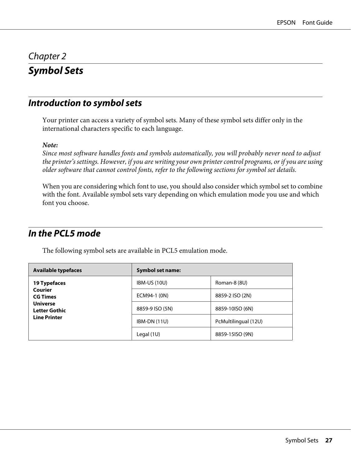### <span id="page-26-0"></span>Chapter 2 **Symbol Sets**

### **Introduction to symbol sets**

Your printer can access a variety of symbol sets. Many of these symbol sets differ only in the international characters specific to each language.

#### *Note:*

*Since most software handles fonts and symbols automatically, you will probably never need to adjust the printer's settings. However, if you are writing your own printer control programs, or if you are using older software that cannot control fonts, refer to the following sections for symbol set details.*

When you are considering which font to use, you should also consider which symbol set to combine with the font. Available symbol sets vary depending on which emulation mode you use and which font you choose.

### **In the PCL5 mode**

The following symbol sets are available in PCL5 emulation mode.

| <b>Available typefaces</b>                                                                            | <b>Symbol set name:</b> |                      |
|-------------------------------------------------------------------------------------------------------|-------------------------|----------------------|
| 19 Typefaces<br>Courier<br><b>CG Times</b><br><b>Universe</b><br>Letter Gothic<br><b>Line Printer</b> | <b>IBM-US (10U)</b>     | Roman-8 (8U)         |
|                                                                                                       | ECM94-1 (0N)            | 8859-2 ISO (2N)      |
|                                                                                                       | 8859-9 ISO (5N)         | 8859-10ISO (6N)      |
|                                                                                                       | $IBM-DN(11U)$           | PcMultilingual (12U) |
|                                                                                                       | Legal $(1U)$            | 8859-15ISO (9N)      |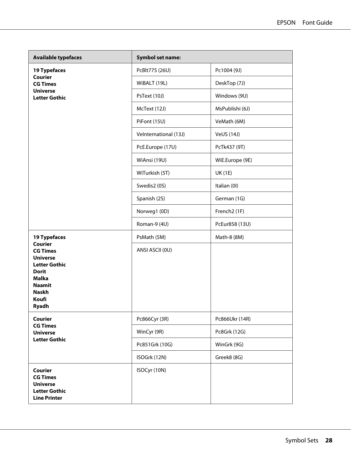| <b>Available typefaces</b>                  | <b>Symbol set name:</b>      |                          |  |  |
|---------------------------------------------|------------------------------|--------------------------|--|--|
| 19 Typefaces                                | PcBlt775 (26U)               | Pc1004 (9J)              |  |  |
| Courier<br><b>CG Times</b>                  | WiBALT (19L)                 | DeskTop (7J)             |  |  |
| <b>Universe</b><br><b>Letter Gothic</b>     | PsText (10J)                 | Windows (9U)             |  |  |
|                                             | McText (12J)                 | MsPublishi (6J)          |  |  |
|                                             | PiFont (15U)                 | VeMath (6M)              |  |  |
|                                             | <b>Velnternational (13J)</b> | <b>VeUS (14J)</b>        |  |  |
|                                             | PcE.Europe (17U)             | PcTk437 (9T)             |  |  |
|                                             | WiAnsi (19U)                 | WiE.Europe (9E)          |  |  |
|                                             | WiTurkish (5T)               | <b>UK (1E)</b>           |  |  |
|                                             | Swedis2 (0S)                 | Italian (0I)             |  |  |
|                                             | Spanish (2S)                 | German (1G)              |  |  |
|                                             | Norweg1 (0D)                 | French <sub>2</sub> (1F) |  |  |
|                                             | Roman-9 (4U)                 | PcEur858 (13U)           |  |  |
| 19 Typefaces                                | PsMath (5M)                  | Math-8 (8M)              |  |  |
| <b>Courier</b><br><b>CG Times</b>           | ANSI ASCII (0U)              |                          |  |  |
| <b>Universe</b><br><b>Letter Gothic</b>     |                              |                          |  |  |
| <b>Dorit</b><br><b>Malka</b>                |                              |                          |  |  |
| <b>Naamit</b><br><b>Naskh</b>               |                              |                          |  |  |
| Koufi<br><b>Ryadh</b>                       |                              |                          |  |  |
| Courier                                     | Pc866Cyr (3R)                | Pc866Ukr (14R)           |  |  |
| <b>CG Times</b><br><b>Universe</b>          | WinCyr (9R)                  | Pc8Grk (12G)             |  |  |
| <b>Letter Gothic</b>                        | Pc851Grk (10G)               | WinGrk (9G)              |  |  |
|                                             | ISOGrk (12N)                 | Greek8 (8G)              |  |  |
| Courier                                     | ISOCyr (10N)                 |                          |  |  |
| <b>CG Times</b><br><b>Universe</b>          |                              |                          |  |  |
| <b>Letter Gothic</b><br><b>Line Printer</b> |                              |                          |  |  |
|                                             |                              |                          |  |  |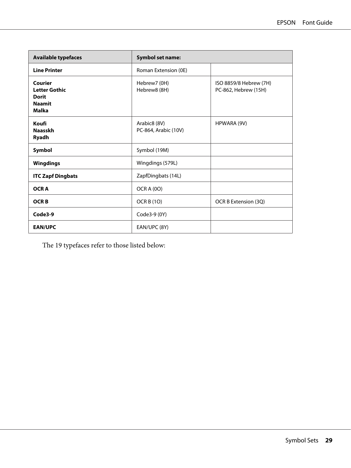| <b>Available typefaces</b>                                                       | <b>Symbol set name:</b>              |                                                |
|----------------------------------------------------------------------------------|--------------------------------------|------------------------------------------------|
| <b>Line Printer</b>                                                              | Roman Extension (0E)                 |                                                |
| Courier<br><b>Letter Gothic</b><br><b>Dorit</b><br><b>Naamit</b><br><b>Malka</b> | Hebrew7 (0H)<br>Hebrew8 (8H)         | ISO 8859/8 Hebrew (7H)<br>PC-862, Hebrew (15H) |
| Koufi<br><b>Naasskh</b><br><b>Ryadh</b>                                          | Arabic8 (8V)<br>PC-864, Arabic (10V) | HPWARA (9V)                                    |
| Symbol                                                                           | Symbol (19M)                         |                                                |
| <b>Wingdings</b>                                                                 | Wingdings (579L)                     |                                                |
| <b>ITC Zapf Dingbats</b>                                                         | ZapfDingbats (14L)                   |                                                |
| <b>OCRA</b>                                                                      | <b>OCR A (0O)</b>                    |                                                |
| <b>OCRB</b>                                                                      | <b>OCR B (10)</b>                    | OCR B Extension (3Q)                           |
| Code3-9                                                                          | Code3-9 (0Y)                         |                                                |
| <b>EAN/UPC</b>                                                                   | EAN/UPC (8Y)                         |                                                |

The 19 typefaces refer to those listed below: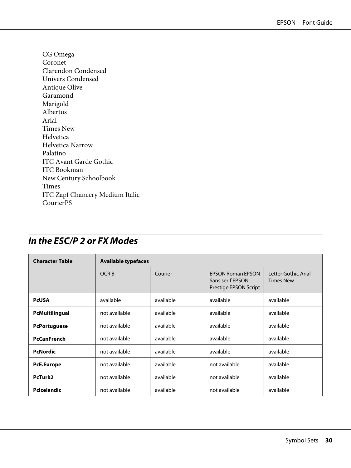<span id="page-29-0"></span>CG Omega Coronet Clarendon Condensed Univers Condensed Antique Olive Garamond Marigold Albertus Arial Times New Helvetica Helvetica Narrow Palatino ITC Avant Garde Gothic ITC Bookman New Century Schoolbook Times ITC Zapf Chancery Medium Italic CourierPS

| <b>Character Table</b> | <b>Available typefaces</b> |           |                                                                       |                                         |  |  |
|------------------------|----------------------------|-----------|-----------------------------------------------------------------------|-----------------------------------------|--|--|
|                        | OCR <sub>B</sub>           | Courier   | <b>EPSON Roman EPSON</b><br>Sans serif EPSON<br>Prestige EPSON Script | Letter Gothic Arial<br><b>Times New</b> |  |  |
| <b>PcUSA</b>           | available                  | available | available                                                             | available                               |  |  |
| PcMultilingual         | not available              | available | available                                                             | available                               |  |  |
| <b>PcPortuguese</b>    | not available              | available | available                                                             | available                               |  |  |
| <b>PcCanFrench</b>     | not available              | available | available                                                             | available                               |  |  |
| <b>PcNordic</b>        | not available              | available | available                                                             | available                               |  |  |
| <b>PcE.Europe</b>      | not available              | available | not available                                                         | available                               |  |  |
| PcTurk2                | not available              | available | not available                                                         | available                               |  |  |
| PcIcelandic            | not available              | available | not available                                                         | available                               |  |  |

### **In the ESC/P 2 or FX Modes**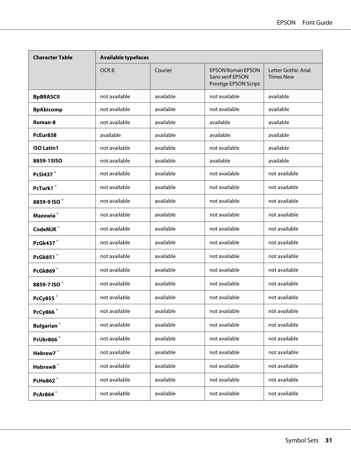| <b>Character Table</b>  | <b>Available typefaces</b> |           |                                                                       |                                         |  |
|-------------------------|----------------------------|-----------|-----------------------------------------------------------------------|-----------------------------------------|--|
|                         | <b>OCRB</b>                | Courier   | <b>EPSON Roman EPSON</b><br>Sans serif EPSON<br>Prestige EPSON Script | Letter Gothic Arial<br><b>Times New</b> |  |
| <b>BpBRASCII</b>        | not available              | available | not available                                                         | available                               |  |
| <b>BpAbicomp</b>        | not available              | available | not available                                                         | available                               |  |
| Roman-8                 | not available              | available | available                                                             | available                               |  |
| PcEur858                | available                  | available | available                                                             | available                               |  |
| <b>ISO Latin1</b>       | not available              | available | not available                                                         | available                               |  |
| 8859-15ISO              | not available              | available | available                                                             | available                               |  |
| PcSI437*                | not available              | available | not available                                                         | not available                           |  |
| PcTurk1 <sup>*</sup>    | not available              | available | not available                                                         | not available                           |  |
| 8859-9 ISO*             | not available              | available | not available                                                         | not available                           |  |
| Mazowia <sup>*</sup>    | not available              | available | not available                                                         | not available                           |  |
| CodeMJK <sup>*</sup>    | not available              | available | not available                                                         | not available                           |  |
| PcGk437*                | not available              | available | not available                                                         | not available                           |  |
| PcGk851*                | not available              | available | not available                                                         | not available                           |  |
| <b>PcGk869*</b>         | not available              | available | not available                                                         | not available                           |  |
| 8859-7 ISO <sup>*</sup> | not available              | available | not available                                                         | not available                           |  |
| PcCy855*                | not available              | available | not available                                                         | not available                           |  |
| PcCy866 <sup>*</sup>    | not available              | available | not available                                                         | not available                           |  |
| <b>Bulgarian</b> *      | not available              | available | not available                                                         | not available                           |  |
| PcUkr866*               | not available              | available | not available                                                         | not available                           |  |
| Hebrew7*                | not available              | available | not available                                                         | not available                           |  |
| Hebrew8 <sup>*</sup>    | not available              | available | not available                                                         | not available                           |  |
| PcHe862*                | not available              | available | not available                                                         | not available                           |  |
| PcAr864*                | not available              | available | not available                                                         | not available                           |  |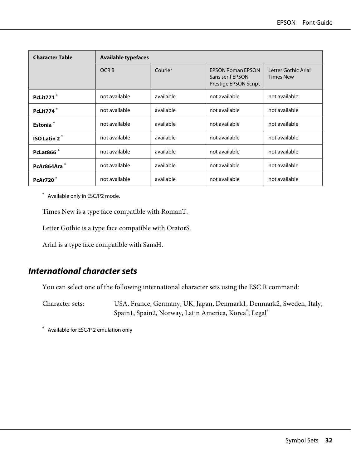<span id="page-31-0"></span>

| <b>Character Table</b>   |                  | <b>Available typefaces</b> |                                                                       |                                         |  |  |  |
|--------------------------|------------------|----------------------------|-----------------------------------------------------------------------|-----------------------------------------|--|--|--|
|                          | OCR <sub>B</sub> | Courier                    | <b>EPSON Roman EPSON</b><br>Sans serif EPSON<br>Prestige EPSON Script | Letter Gothic Arial<br><b>Times New</b> |  |  |  |
| PcLit771 <sup>*</sup>    | not available    | available                  | not available                                                         | not available                           |  |  |  |
| PcLit774*                | not available    | available                  | not available                                                         | not available                           |  |  |  |
| Estonia <sup>*</sup>     | not available    | available                  | not available                                                         | not available                           |  |  |  |
| ISO Latin 2 <sup>*</sup> | not available    | available                  | not available                                                         | not available                           |  |  |  |
| PcLat866 <sup>*</sup>    | not available    | available                  | not available                                                         | not available                           |  |  |  |
| PcAr864Ara*              | not available    | available                  | not available                                                         | not available                           |  |  |  |
| <b>PcAr720*</b>          | not available    | available                  | not available                                                         | not available                           |  |  |  |

\* Available only in ESC/P2 mode.

Times New is a type face compatible with RomanT.

Letter Gothic is a type face compatible with OratorS.

Arial is a type face compatible with SansH.

### **International character sets**

You can select one of the following international character sets using the ESC R command:

Character sets: USA, France, Germany, UK, Japan, Denmark1, Denmark2, Sweden, Italy, Spain1, Spain2, Norway, Latin America, Korea\* , Legal\*

\* Available for ESC/P 2 emulation only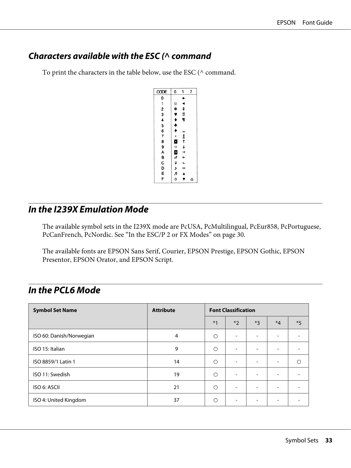### <span id="page-32-0"></span>**Characters available with the ESC (^ command**

To print the characters in the table below, use the ESC ( $\land$  command.

| CODE          | 0                  | 1                 | 7 |
|---------------|--------------------|-------------------|---|
|               |                    | ▶                 |   |
|               | O                  | ◀                 |   |
|               | $\bullet$          | ¢                 |   |
|               |                    | !!                |   |
| 012345678     | <b>v + + + .</b>   | π                 |   |
|               |                    |                   |   |
|               |                    |                   |   |
|               |                    | エイ すっと            |   |
|               | $\frac{1}{\alpha}$ |                   |   |
| $\frac{1}{9}$ |                    |                   |   |
|               | <b>こうよ</b>         |                   |   |
|               |                    |                   |   |
|               |                    | L                 |   |
| ABCDEF        | а<br>П             | $\leftrightarrow$ |   |
|               |                    | $\blacktriangle$  |   |
|               | ٥                  | ▼                 | ۵ |

### **In the I239X Emulation Mode**

The available symbol sets in the I239X mode are PcUSA, PcMultilingual, PcEur858, PcPortuguese, PcCanFrench, PcNordic. See ["In the ESC/P 2 or FX Modes" on page 30.](#page-29-0)

The available fonts are EPSON Sans Serif, Courier, EPSON Prestige, EPSON Gothic, EPSON Presentor, EPSON Orator, and EPSON Script.

### **In the PCL6 Mode**

| <b>Symbol Set Name</b>   | <b>Attribute</b> | <b>Font Classification</b> |                          |                          |                          |      |
|--------------------------|------------------|----------------------------|--------------------------|--------------------------|--------------------------|------|
|                          |                  | $*1$                       | $*2$                     | $*3$                     | $*_{4}$                  | $*5$ |
| ISO 60: Danish/Norwegian | 4                | $\bigcirc$                 | $\overline{\phantom{a}}$ |                          |                          |      |
| ISO 15: Italian          | 9                | $\circ$                    | $\overline{\phantom{a}}$ | $\overline{\phantom{a}}$ | -                        |      |
| ISO 8859/1 Latin 1       | 14               | $\circ$                    | $\overline{\phantom{0}}$ | $\overline{\phantom{a}}$ | $\overline{\phantom{0}}$ | ∩    |
| ISO 11: Swedish          | 19               | $\bigcirc$                 | $\overline{\phantom{a}}$ |                          |                          |      |
| ISO 6: ASCII             | 21               | O                          | $\overline{\phantom{a}}$ | -                        | -                        |      |
| ISO 4: United Kingdom    | 37               | O                          | $\overline{\phantom{0}}$ | -                        | -                        |      |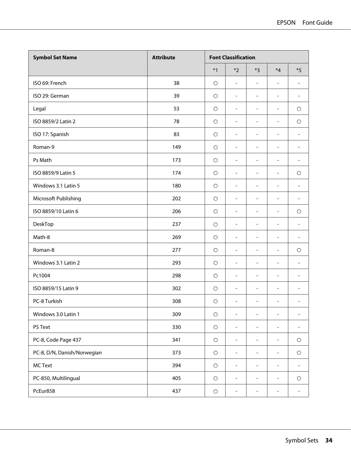| <b>Symbol Set Name</b>      | <b>Attribute</b> | <b>Font Classification</b> |                              |                              |                              |                              |
|-----------------------------|------------------|----------------------------|------------------------------|------------------------------|------------------------------|------------------------------|
|                             |                  | $*1$                       | $*2$                         | $*3$                         | $*_{4}$                      | $*5$                         |
| ISO 69: French              | 38               | $\circ$                    | $\frac{1}{2}$                | $\overline{\phantom{a}}$     | $\overline{\phantom{0}}$     | $\overline{\phantom{a}}$     |
| ISO 29: German              | 39               | $\circ$                    | $\overline{\phantom{a}}$     | $\overline{a}$               | $\overline{a}$               | $\overline{\phantom{a}}$     |
| Legal                       | 53               | $\circ$                    | $\overline{\phantom{0}}$     | $\overline{\phantom{a}}$     | $\qquad \qquad \blacksquare$ | $\circ$                      |
| ISO 8859/2 Latin 2          | 78               | $\circ$                    | $\overline{\phantom{a}}$     | $\overline{a}$               | $\overline{a}$               | $\bigcirc$                   |
| ISO 17: Spanish             | 83               | $\circ$                    | $\frac{1}{2}$                | $\overline{\phantom{a}}$     | $\qquad \qquad \blacksquare$ | $\blacksquare$               |
| Roman-9                     | 149              | $\circ$                    | $\overline{\phantom{a}}$     | $\overline{\phantom{a}}$     | $\overline{a}$               | $\overline{\phantom{a}}$     |
| Ps Math                     | 173              | $\circ$                    | $\frac{1}{2}$                | $\overline{a}$               | $\overline{\phantom{m}}$     | $\overline{\phantom{a}}$     |
| ISO 8859/9 Latin 5          | 174              | $\circ$                    | $\frac{1}{2}$                | $\blacksquare$               | $\overline{\phantom{m}}$     | $\circ$                      |
| Windows 3.1 Latin 5         | 180              | $\circ$                    | $\overline{\phantom{m}}$     | $\overline{\phantom{a}}$     | $\overline{\phantom{m}}$     | $\sim$                       |
| Microsoft Publishing        | 202              | $\circ$                    | $\overline{a}$               | $\overline{\phantom{m}}$     | $\overline{\phantom{m}}$     | $\overline{a}$               |
| ISO 8859/10 Latin 6         | 206              | $\circ$                    | $\qquad \qquad \blacksquare$ | $\overline{\phantom{a}}$     | $\qquad \qquad \blacksquare$ | $\bigcirc$                   |
| DeskTop                     | 237              | $\circ$                    | $\qquad \qquad \blacksquare$ | $\overline{\phantom{m}}$     | $\overline{\phantom{0}}$     | $\overline{\phantom{a}}$     |
| Math-8                      | 269              | $\circ$                    | $\frac{1}{2}$                | $\overline{\phantom{m}}$     | $\qquad \qquad \blacksquare$ | $\overline{\phantom{a}}$     |
| Roman-8                     | 277              | $\circ$                    | $\overline{a}$               | $\overline{\phantom{a}}$     | $\overline{\phantom{m}}$     | $\circ$                      |
| Windows 3.1 Latin 2         | 293              | $\circ$                    | $\qquad \qquad \blacksquare$ | $\qquad \qquad \blacksquare$ | $\qquad \qquad \blacksquare$ |                              |
| Pc1004                      | 298              | $\circ$                    | $\frac{1}{2}$                | $\overline{\phantom{a}}$     | $\overline{\phantom{m}}$     | $\sim$                       |
| ISO 8859/15 Latin 9         | 302              | $\circ$                    | $\qquad \qquad \blacksquare$ | $\overline{\phantom{m}}$     | $\overline{\phantom{0}}$     | $\overline{\phantom{0}}$     |
| PC-8 Turkish                | 308              | $\circ$                    | $\overline{a}$               | $\overline{a}$               | $\overline{\phantom{m}}$     | $\sim$                       |
| Windows 3.0 Latin 1         | 309              | $\bigcirc$                 | $\blacksquare$               | -                            |                              |                              |
| PS Text                     | 330              | $\bigcirc$                 | $\qquad \qquad \blacksquare$ | $\overline{\phantom{m}}$     | $\overline{\phantom{0}}$     | $\overline{\phantom{a}}$     |
| PC-8, Code Page 437         | 341              | $\bigcirc$                 | $\overline{a}$               | $\overline{\phantom{a}}$     | $\overline{\phantom{a}}$     | $\bigcirc$                   |
| PC-8, D/N, Danish/Norwegian | 373              | $\bigcirc$                 | $\overline{\phantom{0}}$     | $\blacksquare$               | $\overline{\phantom{0}}$     | $\bigcirc$                   |
| <b>MC Text</b>              | 394              | $\bigcirc$                 | $\frac{1}{2}$                | $\overline{a}$               | $\overline{a}$               | $\overline{\phantom{a}}$     |
| PC-850, Multilingual        | 405              | $\bigcirc$                 | $\overline{\phantom{0}}$     | $\overline{\phantom{a}}$     | $\overline{\phantom{a}}$     | $\bigcirc$                   |
| PcEur858                    | 437              | $\bigcirc$                 | $\overline{\phantom{0}}$     | $\overline{\phantom{m}}$     | $\blacksquare$               | $\qquad \qquad \blacksquare$ |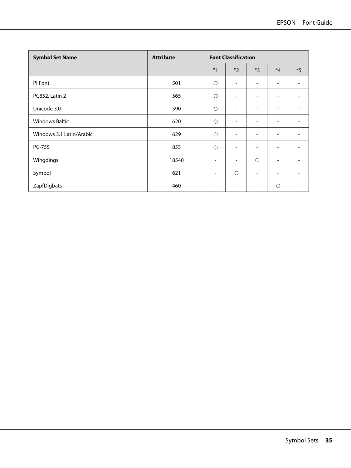| <b>Symbol Set Name</b>   | <b>Attribute</b> | <b>Font Classification</b> |                              |                          |                          |      |
|--------------------------|------------------|----------------------------|------------------------------|--------------------------|--------------------------|------|
|                          |                  | $*1$                       | $*2$                         | $*3$                     | $*_{4}$                  | $*5$ |
| Pi Font                  | 501              | $\circ$                    | $\overline{\phantom{a}}$     | $\overline{\phantom{a}}$ | $\overline{\phantom{a}}$ |      |
| PC852, Latin 2           | 565              | $\circ$                    | Ξ.                           | $\overline{\phantom{a}}$ | $\overline{\phantom{a}}$ |      |
| Unicode 3.0              | 590              | $\circ$                    | ۰                            | ۰                        | $\overline{\phantom{0}}$ |      |
| <b>Windows Baltic</b>    | 620              | $\circ$                    | $\overline{\phantom{0}}$     | ۰                        | $\overline{\phantom{a}}$ |      |
| Windows 3.1 Latin/Arabic | 629              | $\circ$                    | $\qquad \qquad \blacksquare$ | $\overline{\phantom{0}}$ | $\overline{\phantom{a}}$ |      |
| PC-755                   | 853              | $\circ$                    | $\overline{\phantom{a}}$     | $\blacksquare$           | $\overline{\phantom{a}}$ |      |
| Wingdings                | 18540            | ۰                          | $\qquad \qquad \blacksquare$ | $\circ$                  | $\overline{\phantom{a}}$ |      |
| Symbol                   | 621              | -                          | $\circ$                      | $\overline{\phantom{a}}$ | ۰                        |      |
| ZapfDigbats              | 460              | ۰                          | -                            | -                        | $\circ$                  |      |